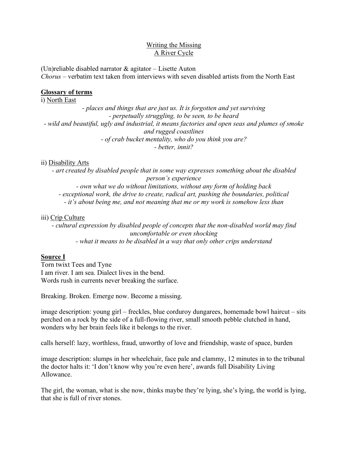## Writing the Missing A River Cycle

(Un)reliable disabled narrator & agitator – Lisette Auton *Chorus* – verbatim text taken from interviews with seven disabled artists from the North East

# **Glossary of terms**

i) North East

*- places and things that are just us. It is forgotten and yet surviving - perpetually struggling, to be seen, to be heard - wild and beautiful, ugly and industrial, it means factories and open seas and plumes of smoke and rugged coastlines - of crab bucket mentality, who do you think you are? - better, innit?*

## ii) Disability Arts

*- art created by disabled people that in some way expresses something about the disabled person's experience*

*- own what we do without limitations, without any form of holding back*

*- exceptional work, the drive to create, radical art, pushing the boundaries, political*

*- it's about being me, and not meaning that me or my work is somehow less than*

## iii) Crip Culture

*- cultural expression by disabled people of concepts that the non-disabled world may find uncomfortable or even shocking - what it means to be disabled in a way that only other crips understand*

# **Source I**

Torn twixt Tees and Tyne I am river. I am sea. Dialect lives in the bend. Words rush in currents never breaking the surface.

Breaking. Broken. Emerge now. Become a missing.

image description: young girl – freckles, blue corduroy dungarees, homemade bowl haircut – sits perched on a rock by the side of a full-flowing river, small smooth pebble clutched in hand, wonders why her brain feels like it belongs to the river.

calls herself: lazy, worthless, fraud, unworthy of love and friendship, waste of space, burden

image description: slumps in her wheelchair, face pale and clammy, 12 minutes in to the tribunal the doctor halts it: 'I don't know why you're even here', awards full Disability Living Allowance.

The girl, the woman, what is she now, thinks maybe they're lying, she's lying, the world is lying, that she is full of river stones.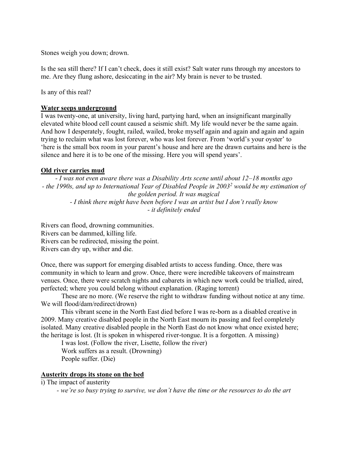Stones weigh you down; drown.

Is the sea still there? If I can't check, does it still exist? Salt water runs through my ancestors to me. Are they flung ashore, desiccating in the air? My brain is never to be trusted.

Is any of this real?

### **Water seeps underground**

I was twenty-one, at university, living hard, partying hard, when an insignificant marginally elevated white blood cell count caused a seismic shift. My life would never be the same again. And how I desperately, fought, railed, wailed, broke myself again and again and again and again trying to reclaim what was lost forever, who was lost forever. From 'world's your oyster' to 'here is the small box room in your parent's house and here are the drawn curtains and here is the silence and here it is to be one of the missing. Here you will spend years'.

#### **Old river carries mud**

*- I was not even aware there was a Disability Arts scene until about 12–18 months ago - the 1990s, and up to International Year of Disabled People in 2003<sup>2</sup> would be my estimation of the golden period. It was magical - I think there might have been before I was an artist but I don't really know - it definitely ended*

Rivers can flood, drowning communities. Rivers can be dammed, killing life. Rivers can be redirected, missing the point. Rivers can dry up, wither and die.

Once, there was support for emerging disabled artists to access funding. Once, there was community in which to learn and grow. Once, there were incredible takeovers of mainstream venues. Once, there were scratch nights and cabarets in which new work could be trialled, aired, perfected; where you could belong without explanation. (Raging torrent)

These are no more. (We reserve the right to withdraw funding without notice at any time. We will flood/dam/redirect/drown)

This vibrant scene in the North East died before I was re-born as a disabled creative in 2009. Many creative disabled people in the North East mourn its passing and feel completely isolated. Many creative disabled people in the North East do not know what once existed here; the heritage is lost. (It is spoken in whispered river-tongue. It is a forgotten. A missing)

I was lost. (Follow the river, Lisette, follow the river)

Work suffers as a result. (Drowning) People suffer. (Die)

# **Austerity drops its stone on the bed**

i) The impact of austerity

*- we're so busy trying to survive, we don't have the time or the resources to do the art*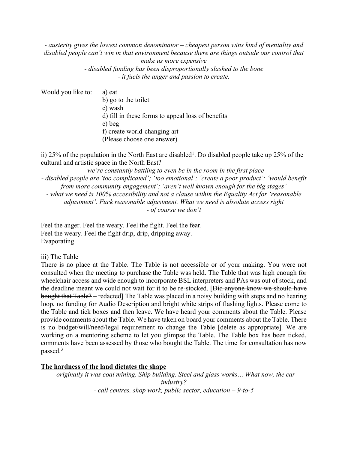*- austerity gives the lowest common denominator – cheapest person wins kind of mentality and disabled people can't win in that environment because there are things outside our control that make us more expensive - disabled funding has been disproportionally slashed to the bone*

*- it fuels the anger and passion to create.* 

| Would you like to: | a) eat                                            |
|--------------------|---------------------------------------------------|
|                    | b) go to the toilet                               |
|                    | c) wash                                           |
|                    | d) fill in these forms to appeal loss of benefits |
|                    | e) beg                                            |
|                    | f) create world-changing art                      |
|                    | (Please choose one answer)                        |

ii) 25% of the population in the North East are disabled<sup>1</sup>. Do disabled people take up 25% of the cultural and artistic space in the North East?

*- we're constantly battling to even be in the room in the first place - disabled people are 'too complicated'; 'too emotional'; 'create a poor product'; 'would benefit from more community engagement'; 'aren't well known enough for the big stages' - what we need is 100% accessibility and not a clause within the Equality Act for 'reasonable adjustment'. Fuck reasonable adjustment. What we need is absolute access right - of course we don't*

Feel the anger. Feel the weary. Feel the fight. Feel the fear. Feel the weary. Feel the fight drip, drip, dripping away. Evaporating.

iii) The Table

There is no place at the Table. The Table is not accessible or of your making. You were not consulted when the meeting to purchase the Table was held. The Table that was high enough for wheelchair access and wide enough to incorporate BSL interpreters and PAs was out of stock, and the deadline meant we could not wait for it to be re-stocked. [Did anyone know we should have bought that Table? – redacted] The Table was placed in a noisy building with steps and no hearing loop, no funding for Audio Description and bright white strips of flashing lights. Please come to the Table and tick boxes and then leave. We have heard your comments about the Table. Please provide comments about the Table. We have taken on board your comments about the Table. There is no budget/will/need/legal requirement to change the Table [delete as appropriate]. We are working on a mentoring scheme to let you glimpse the Table. The Table box has been ticked, comments have been assessed by those who bought the Table. The time for consultation has now passed.<sup>3</sup>

# **The hardness of the land dictates the shape**

*- originally it was coal mining. Ship building. Steel and glass works… What now, the car industry? - call centres, shop work, public sector, education – 9-to-5*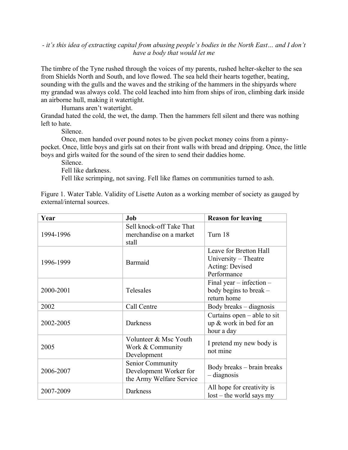### *- it's this idea of extracting capital from abusing people's bodies in the North East… and I don't have a body that would let me*

The timbre of the Tyne rushed through the voices of my parents, rushed helter-skelter to the sea from Shields North and South, and love flowed. The sea held their hearts together, beating, sounding with the gulls and the waves and the striking of the hammers in the shipyards where my grandad was always cold. The cold leached into him from ships of iron, climbing dark inside an airborne hull, making it watertight.

Humans aren't watertight.

Grandad hated the cold, the wet, the damp. Then the hammers fell silent and there was nothing left to hate.

Silence.

Once, men handed over pound notes to be given pocket money coins from a pinnypocket. Once, little boys and girls sat on their front walls with bread and dripping. Once, the little boys and girls waited for the sound of the siren to send their daddies home.

Silence.

Fell like darkness.

Fell like scrimping, not saving. Fell like flames on communities turned to ash.

Figure 1. Water Table. Validity of Lisette Auton as a working member of society as gauged by external/internal sources.

| Year      | Job                                                                    | <b>Reason for leaving</b>                                                        |
|-----------|------------------------------------------------------------------------|----------------------------------------------------------------------------------|
| 1994-1996 | Sell knock-off Take That<br>merchandise on a market<br>stall           | Turn 18                                                                          |
| 1996-1999 | Barmaid                                                                | Leave for Bretton Hall<br>University – Theatre<br>Acting: Devised<br>Performance |
| 2000-2001 | Telesales                                                              | Final year $-$ infection $-$<br>body begins to break $-$<br>return home          |
| 2002      | Call Centre                                                            | Body breaks – diagnosis                                                          |
| 2002-2005 | <b>Darkness</b>                                                        | Curtains open $-$ able to sit<br>up & work in bed for an<br>hour a day           |
| 2005      | Volunteer & Msc Youth<br>Work & Community<br>Development               | I pretend my new body is<br>not mine                                             |
| 2006-2007 | Senior Community<br>Development Worker for<br>the Army Welfare Service | Body breaks – brain breaks<br>- diagnosis                                        |
| 2007-2009 | Darkness                                                               | All hope for creativity is<br>$lost - the world says my$                         |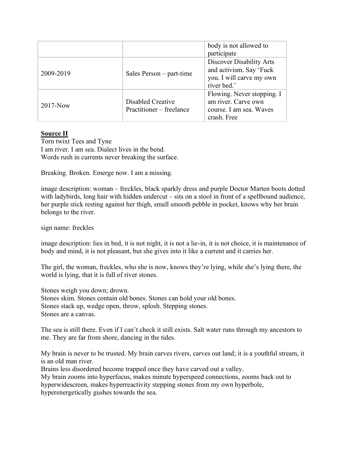|              |                                               | body is not allowed to<br>participate                                                                 |
|--------------|-----------------------------------------------|-------------------------------------------------------------------------------------------------------|
| 2009-2019    | Sales Person – part-time                      | <b>Discover Disability Arts</b><br>and activism. Say 'Fuck<br>you. I will carve my own<br>river bed.' |
| $2017 - Now$ | Disabled Creative<br>Practitioner – freelance | Flowing. Never stopping. I<br>am river. Carve own<br>course. I am sea. Waves<br>crash. Free           |

# **Source II**

Torn twixt Tees and Tyne I am river. I am sea. Dialect lives in the bend. Words rush in currents never breaking the surface.

Breaking. Broken. Emerge now. I am a missing.

image description: woman – freckles, black sparkly dress and purple Doctor Marten boots dotted with ladybirds, long hair with hidden undercut – sits on a stool in front of a spellbound audience, her purple stick resting against her thigh, small smooth pebble in pocket, knows why her brain belongs to the river.

sign name: freckles

image description: lies in bed, it is not night, it is not a lie-in, it is not choice, it is maintenance of body and mind, it is not pleasant, but she gives into it like a current and it carries her.

The girl, the woman, freckles, who she is now, knows they're lying, while she's lying there, the world is lying, that it is full of river stones.

Stones weigh you down; drown. Stones skim. Stones contain old bones. Stones can hold your old bones. Stones stack up, wedge open, throw, splosh. Stepping stones. Stones are a canvas.

The sea is still there. Even if I can't check it still exists. Salt water runs through my ancestors to me. They are far from shore, dancing in the tides.

My brain is never to be trusted. My brain carves rivers, carves out land; it is a youthful stream, it is an old man river.

Brains less disordered become trapped once they have carved out a valley.

My brain zooms into hyperfocus, makes minute hyperspeed connections, zooms back out to hyperwidescreen, makes hyperreactivity stepping stones from my own hyperbole, hyperenergetically gushes towards the sea.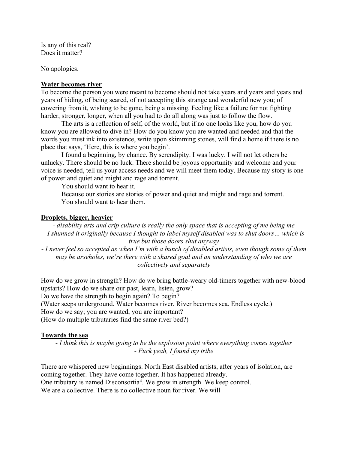Is any of this real? Does it matter?

No apologies.

#### **Water becomes river**

To become the person you were meant to become should not take years and years and years and years of hiding, of being scared, of not accepting this strange and wonderful new you; of cowering from it, wishing to be gone, being a missing. Feeling like a failure for not fighting harder, stronger, longer, when all you had to do all along was just to follow the flow.

The arts is a reflection of self, of the world, but if no one looks like you, how do you know you are allowed to dive in? How do you know you are wanted and needed and that the words you must ink into existence, write upon skimming stones, will find a home if there is no place that says, 'Here, this is where you begin'.

I found a beginning, by chance. By serendipity. I was lucky. I will not let others be unlucky. There should be no luck. There should be joyous opportunity and welcome and your voice is needed, tell us your access needs and we will meet them today. Because my story is one of power and quiet and might and rage and torrent.

You should want to hear it.

Because our stories are stories of power and quiet and might and rage and torrent. You should want to hear them.

#### **Droplets, bigger, heavier**

*- disability arts and crip culture is really the only space that is accepting of me being me - I shunned it originally because I thought to label myself disabled was to shut doors… which is true but those doors shut anyway*

*- I never feel so accepted as when I'm with a bunch of disabled artists, even though some of them may be arseholes, we're there with a shared goal and an understanding of who we are collectively and separately*

How do we grow in strength? How do we bring battle-weary old-timers together with new-blood upstarts? How do we share our past, learn, listen, grow? Do we have the strength to begin again? To begin? (Water seeps underground. Water becomes river. River becomes sea. Endless cycle.) How do we say; you are wanted, you are important? (How do multiple tributaries find the same river bed?)

### **Towards the sea**

*- I think this is maybe going to be the explosion point where everything comes together - Fuck yeah, I found my tribe*

There are whispered new beginnings. North East disabled artists, after years of isolation, are coming together. They have come together. It has happened already. One tributary is named Disconsortia<sup>4</sup>. We grow in strength. We keep control. We are a collective. There is no collective noun for river. We will